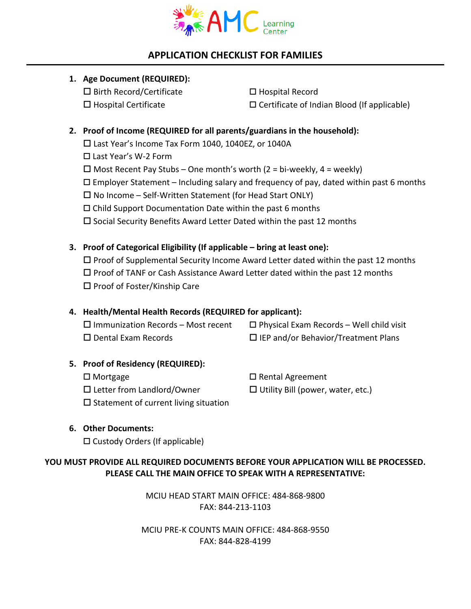

# **APPLICATION CHECKLIST FOR FAMILIES**

# **1. Age Document (REQUIRED):**

 $\Box$  Birth Record/Certificate  $\Box$  Hospital Record  $\Box$  Hospital Certificate  $\Box$  Certificate of Indian Blood (If applicable)

# **2. Proof of Income (REQUIRED for all parents/guardians in the household):**

□ Last Year's Income Tax Form 1040, 1040EZ, or 1040A

Last Year's W-2 Form

 $\Box$  Most Recent Pay Stubs – One month's worth (2 = bi-weekly, 4 = weekly)

 $\Box$  Employer Statement – Including salary and frequency of pay, dated within past 6 months

 $\Box$  No Income – Self-Written Statement (for Head Start ONLY)

 $\Box$  Child Support Documentation Date within the past 6 months

 $\square$  Social Security Benefits Award Letter Dated within the past 12 months

# **3. Proof of Categorical Eligibility (If applicable – bring at least one):**

 $\square$  Proof of Supplemental Security Income Award Letter dated within the past 12 months  $\square$  Proof of TANF or Cash Assistance Award Letter dated within the past 12 months  $\square$  Proof of Foster/Kinship Care

# **4. Health/Mental Health Records (REQUIRED for applicant):**

 $\Box$  Immunization Records – Most recent  $\Box$  Physical Exam Records – Well child visit  $\square$  Dental Exam Records  $\square$  IEP and/or Behavior/Treatment Plans

### **5. Proof of Residency (REQUIRED):**

□ Mortgage The Control of True Control Agreement  $\square$  Letter from Landlord/Owner  $\square$  Utility Bill (power, water, etc.)  $\square$  Statement of current living situation

# **6. Other Documents:**

 $\square$  Custody Orders (If applicable)

### **YOU MUST PROVIDE ALL REQUIRED DOCUMENTS BEFORE YOUR APPLICATION WILL BE PROCESSED. PLEASE CALL THE MAIN OFFICE TO SPEAK WITH A REPRESENTATIVE:**

MCIU HEAD START MAIN OFFICE: 484-868-9800 FAX: 844-213-1103

MCIU PRE-K COUNTS MAIN OFFICE: 484-868-9550 FAX: 844-828-4199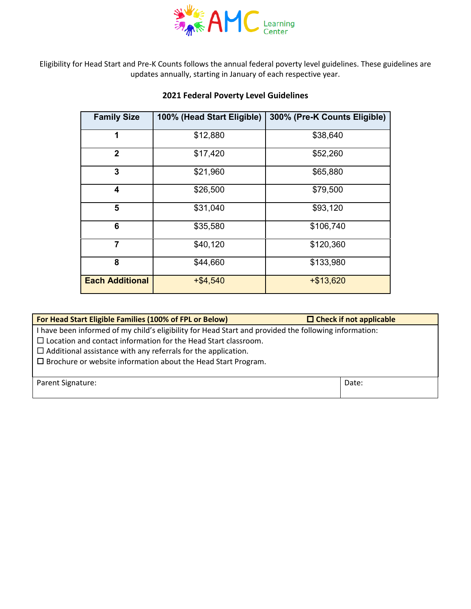

Eligibility for Head Start and Pre-K Counts follows the annual federal poverty level guidelines. These guidelines are updates annually, starting in January of each respective year.

# **2021 Federal Poverty Level Guidelines**

| <b>Family Size</b>     | 100% (Head Start Eligible) | 300% (Pre-K Counts Eligible) |
|------------------------|----------------------------|------------------------------|
| 1                      | \$12,880                   | \$38,640                     |
| $\overline{2}$         | \$17,420                   | \$52,260                     |
| 3                      | \$21,960                   | \$65,880                     |
| 4                      | \$26,500                   | \$79,500                     |
| 5                      | \$31,040                   | \$93,120                     |
| 6                      | \$35,580                   | \$106,740                    |
| 7                      | \$40,120                   | \$120,360                    |
| 8                      | \$44,660                   | \$133,980                    |
| <b>Each Additional</b> | $+ $4,540$                 | $+ $13,620$                  |

| For Head Start Eligible Families (100% of FPL or Below)                                                                                                                                                                                                                                                                           | $\Box$ Check if not applicable |
|-----------------------------------------------------------------------------------------------------------------------------------------------------------------------------------------------------------------------------------------------------------------------------------------------------------------------------------|--------------------------------|
| I have been informed of my child's eligibility for Head Start and provided the following information:<br>$\Box$ Location and contact information for the Head Start classroom.<br>$\Box$ Additional assistance with any referrals for the application.<br>$\square$ Brochure or website information about the Head Start Program. |                                |
| Parent Signature:                                                                                                                                                                                                                                                                                                                 | Date:                          |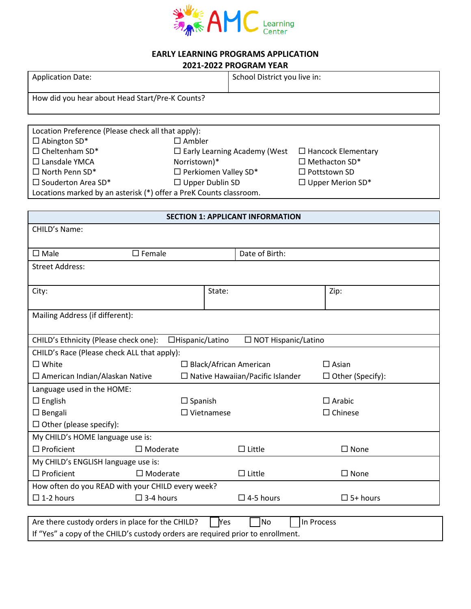

#### **EARLY LEARNING PROGRAMS APPLICATION 2021-2022 PROGRAM YEAR**

|                                                    |                             | <b>2021-2022 PROGRAM YEAR</b>       |                           |  |
|----------------------------------------------------|-----------------------------|-------------------------------------|---------------------------|--|
| <b>Application Date:</b>                           |                             | School District you live in:        |                           |  |
|                                                    |                             |                                     |                           |  |
| How did you hear about Head Start/Pre-K Counts?    |                             |                                     |                           |  |
|                                                    |                             |                                     |                           |  |
|                                                    |                             |                                     |                           |  |
| Location Preference (Please check all that apply): |                             |                                     |                           |  |
| $\Box$ Abington SD*                                | $\square$ Ambler            |                                     |                           |  |
| $\Box$ Cheltenham SD*                              |                             | $\Box$ Early Learning Academy (West | $\Box$ Hancock Elementary |  |
| □ Lansdale YMCA                                    | Norristown)*                |                                     | $\Box$ Methacton SD*      |  |
| $\square$ North Penn SD*                           | $\Box$ Perkiomen Valley SD* |                                     | $\Box$ Pottstown SD       |  |
| $\square$ Souderton Area SD*                       | $\Box$ Upper Dublin SD      |                                     | $\Box$ Upper Merion SD*   |  |
|                                                    |                             |                                     |                           |  |

Locations marked by an asterisk (\*) offer a PreK Counts classroom.

| <b>SECTION 1: APPLICANT INFORMATION</b>                                         |                  |                      |                                         |                         |
|---------------------------------------------------------------------------------|------------------|----------------------|-----------------------------------------|-------------------------|
| CHILD's Name:                                                                   |                  |                      |                                         |                         |
|                                                                                 |                  |                      |                                         |                         |
| $\square$ Female<br>$\square$ Male                                              |                  |                      | Date of Birth:                          |                         |
| <b>Street Address:</b>                                                          |                  |                      |                                         |                         |
|                                                                                 |                  |                      |                                         |                         |
| City:                                                                           |                  | State:               |                                         | Zip:                    |
|                                                                                 |                  |                      |                                         |                         |
| Mailing Address (if different):                                                 |                  |                      |                                         |                         |
|                                                                                 |                  |                      |                                         |                         |
| CHILD's Ethnicity (Please check one):                                           | □Hispanic/Latino |                      | $\Box$ NOT Hispanic/Latino              |                         |
| CHILD's Race (Please check ALL that apply):                                     |                  |                      |                                         |                         |
| $\square$ White                                                                 |                  |                      | $\Box$ Black/African American           | $\Box$ Asian            |
| $\Box$ American Indian/Alaskan Native                                           |                  |                      | $\Box$ Native Hawaiian/Pacific Islander | $\Box$ Other (Specify): |
| Language used in the HOME:                                                      |                  |                      |                                         |                         |
| $\Box$ English                                                                  | $\Box$ Spanish   |                      |                                         | $\Box$ Arabic           |
| $\Box$ Bengali                                                                  |                  | $\square$ Vietnamese |                                         | $\Box$ Chinese          |
| $\Box$ Other (please specify):                                                  |                  |                      |                                         |                         |
| My CHILD's HOME language use is:                                                |                  |                      |                                         |                         |
| $\Box$ Proficient<br>$\square$ Moderate                                         |                  |                      | $\Box$ Little                           | $\square$ None          |
| My CHILD's ENGLISH language use is:                                             |                  |                      |                                         |                         |
| $\Box$ Proficient<br>$\square$ Moderate                                         |                  |                      | $\Box$ Little                           | $\square$ None          |
| How often do you READ with your CHILD every week?                               |                  |                      |                                         |                         |
| $\square$ 1-2 hours<br>$\Box$ 3-4 hours                                         |                  |                      | $\Box$ 4-5 hours                        | $\square$ 5+ hours      |
|                                                                                 |                  |                      |                                         |                         |
| Are there custody orders in place for the CHILD?                                |                  | <b>Yes</b>           | <b>No</b>                               | In Process              |
| If "Yes" a copy of the CHILD's custody orders are required prior to enrollment. |                  |                      |                                         |                         |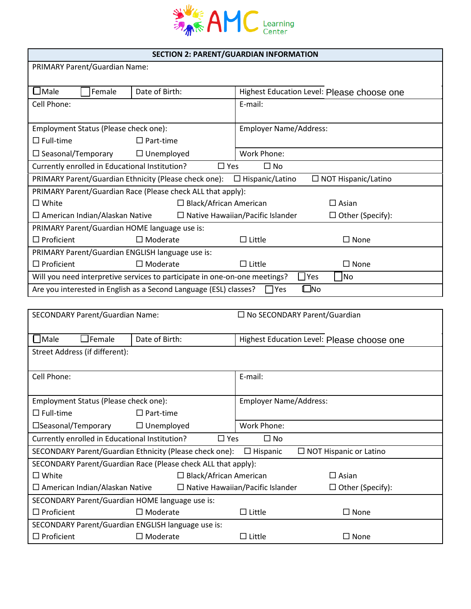

### **SECTION 2: PARENT/GUARDIAN INFORMATION**

| <b>PRIMARY Parent/Guardian Name:</b>                                                     |                                                                         |                                         |                                            |  |
|------------------------------------------------------------------------------------------|-------------------------------------------------------------------------|-----------------------------------------|--------------------------------------------|--|
| $\Box$ Male<br>Female                                                                    | Date of Birth:                                                          |                                         | Highest Education Level: Please choose one |  |
| Cell Phone:                                                                              |                                                                         | E-mail:                                 |                                            |  |
| Employment Status (Please check one):                                                    |                                                                         | <b>Employer Name/Address:</b>           |                                            |  |
| $\Box$ Full-time                                                                         | $\Box$ Part-time                                                        |                                         |                                            |  |
| $\square$ Seasonal/Temporary                                                             | $\Box$ Unemployed                                                       | Work Phone:                             |                                            |  |
| Currently enrolled in Educational Institution?                                           | $\Box$ Yes                                                              | $\square$ No                            |                                            |  |
|                                                                                          | PRIMARY Parent/Guardian Ethnicity (Please check one): □ Hispanic/Latino |                                         | $\Box$ NOT Hispanic/Latino                 |  |
| PRIMARY Parent/Guardian Race (Please check ALL that apply):                              |                                                                         |                                         |                                            |  |
| $\square$ White<br>$\Box$ Black/African American                                         |                                                                         |                                         | $\Box$ Asian                               |  |
| $\Box$ American Indian/Alaskan Native                                                    |                                                                         | $\Box$ Native Hawaiian/Pacific Islander | $\Box$ Other (Specify):                    |  |
| PRIMARY Parent/Guardian HOME language use is:                                            |                                                                         |                                         |                                            |  |
| $\Box$ Proficient                                                                        | $\Box$ Moderate                                                         | $\Box$ Little                           | $\square$ None                             |  |
| PRIMARY Parent/Guardian ENGLISH language use is:                                         |                                                                         |                                         |                                            |  |
| $\Box$ Proficient                                                                        | $\Box$ Moderate                                                         | $\Box$ Little                           | $\square$ None                             |  |
| Yes<br>Will you need interpretive services to participate in one-on-one meetings?<br>No. |                                                                         |                                         |                                            |  |
| $\square$ No<br>Are you interested in English as a Second Language (ESL) classes?<br>Yes |                                                                         |                                         |                                            |  |

| <b>SECONDARY Parent/Guardian Name:</b>                                              |                                       |                   | $\Box$ No SECONDARY Parent/Guardian |                               |                                            |
|-------------------------------------------------------------------------------------|---------------------------------------|-------------------|-------------------------------------|-------------------------------|--------------------------------------------|
| $\bigsqcup$ Male                                                                    | $\Box$ Female                         | Date of Birth:    |                                     |                               | Highest Education Level: Please choose one |
|                                                                                     | Street Address (if different):        |                   |                                     |                               |                                            |
| Cell Phone:                                                                         |                                       |                   |                                     | E-mail:                       |                                            |
|                                                                                     |                                       |                   |                                     |                               |                                            |
|                                                                                     | Employment Status (Please check one): |                   |                                     | <b>Employer Name/Address:</b> |                                            |
| $\Box$ Full-time                                                                    |                                       | $\Box$ Part-time  |                                     |                               |                                            |
| $\square$ Seasonal/Temporary                                                        |                                       | $\Box$ Unemployed |                                     | Work Phone:                   |                                            |
| Currently enrolled in Educational Institution?<br>$\square$ Yes                     |                                       |                   |                                     | $\square$ No                  |                                            |
| SECONDARY Parent/Guardian Ethnicity (Please check one):                             |                                       | $\Box$ Hispanic   | $\Box$ NOT Hispanic or Latino       |                               |                                            |
| SECONDARY Parent/Guardian Race (Please check ALL that apply):                       |                                       |                   |                                     |                               |                                            |
| $\square$ White<br>$\Box$ Black/African American                                    |                                       |                   | $\square$ Asian                     |                               |                                            |
| $\Box$ Native Hawaiian/Pacific Islander<br>$\square$ American Indian/Alaskan Native |                                       |                   | $\Box$ Other (Specify):             |                               |                                            |
| SECONDARY Parent/Guardian HOME language use is:                                     |                                       |                   |                                     |                               |                                            |
| $\Box$ Proficient                                                                   |                                       | $\Box$ Moderate   |                                     | $\Box$ Little                 | $\square$ None                             |
| SECONDARY Parent/Guardian ENGLISH language use is:                                  |                                       |                   |                                     |                               |                                            |
| $\Box$ Proficient                                                                   |                                       | $\Box$ Moderate   |                                     | $\Box$ Little                 | $\square$ None                             |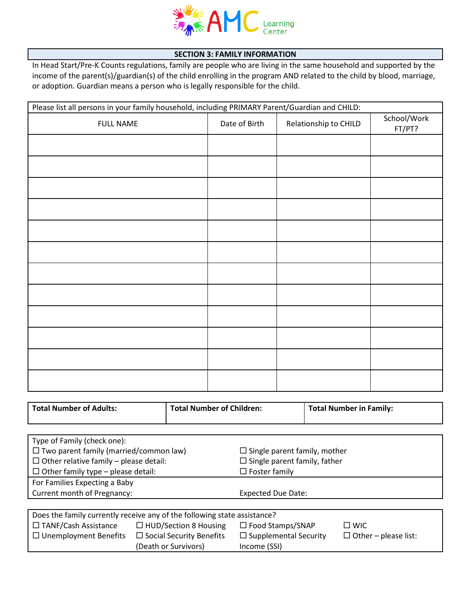

#### **SECTION 3: FAMILY INFORMATION**

In Head Start/Pre-K Counts regulations, family are people who are living in the same household and supported by the income of the parent(s)/guardian(s) of the child enrolling in the program AND related to the child by blood, marriage, or adoption. Guardian means a person who is legally responsible for the child.

| Please list all persons in your family household, including PRIMARY Parent/Guardian and CHILD: |               |                       |                       |  |
|------------------------------------------------------------------------------------------------|---------------|-----------------------|-----------------------|--|
| <b>FULL NAME</b>                                                                               | Date of Birth | Relationship to CHILD | School/Work<br>FT/PT? |  |
|                                                                                                |               |                       |                       |  |
|                                                                                                |               |                       |                       |  |
|                                                                                                |               |                       |                       |  |
|                                                                                                |               |                       |                       |  |
|                                                                                                |               |                       |                       |  |
|                                                                                                |               |                       |                       |  |
|                                                                                                |               |                       |                       |  |
|                                                                                                |               |                       |                       |  |
|                                                                                                |               |                       |                       |  |
|                                                                                                |               |                       |                       |  |
|                                                                                                |               |                       |                       |  |
|                                                                                                |               |                       |                       |  |

| <b>Total Number of Adults:</b>                | <b>Total Number of Children:</b>                                         |                                     | <b>Total Number in Family:</b>      |  |  |
|-----------------------------------------------|--------------------------------------------------------------------------|-------------------------------------|-------------------------------------|--|--|
|                                               |                                                                          |                                     |                                     |  |  |
| Type of Family (check one):                   |                                                                          |                                     |                                     |  |  |
| $\Box$ Two parent family (married/common law) |                                                                          | $\Box$ Single parent family, mother |                                     |  |  |
| $\Box$ Other relative family – please detail: |                                                                          |                                     | $\Box$ Single parent family, father |  |  |
| $\Box$ Other family type – please detail:     |                                                                          | $\Box$ Foster family                |                                     |  |  |
| For Families Expecting a Baby                 |                                                                          |                                     |                                     |  |  |
| Current month of Pregnancy:                   |                                                                          | <b>Expected Due Date:</b>           |                                     |  |  |
|                                               |                                                                          |                                     |                                     |  |  |
|                                               | Does the family currently receive any of the following state assistance? |                                     |                                     |  |  |
| $\Box$ TANF/Cash Assistance                   | $\Box$ HUD/Section 8 Housing                                             | $\Box$ Food Stamps/SNAP             | $\square$ WIC                       |  |  |
| $\Box$ Unemployment Benefits                  | $\Box$ Social Security Benefits                                          | $\Box$ Supplemental Security        | $\Box$ Other – please list:         |  |  |

Income (SSI)

(Death or Survivors)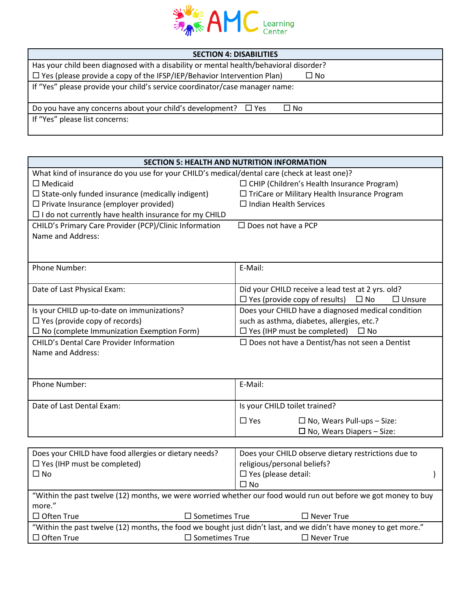

| <b>SECTION 4: DISABILITIES</b>                                                                |  |  |
|-----------------------------------------------------------------------------------------------|--|--|
| Has your child been diagnosed with a disability or mental health/behavioral disorder?         |  |  |
| $\Box$ Yes (please provide a copy of the IFSP/IEP/Behavior Intervention Plan)<br>$\square$ No |  |  |
| If "Yes" please provide your child's service coordinator/case manager name:                   |  |  |
| Do you have any concerns about your child's development? $\Box$ Yes<br>$\Box$ No              |  |  |
| If "Yes" please list concerns:                                                                |  |  |

| <b>SECTION 5: HEALTH AND NUTRITION INFORMATION</b>                                                             |                                                                       |  |  |  |
|----------------------------------------------------------------------------------------------------------------|-----------------------------------------------------------------------|--|--|--|
| What kind of insurance do you use for your CHILD's medical/dental care (check at least one)?                   |                                                                       |  |  |  |
| $\square$ Medicaid                                                                                             | $\Box$ CHIP (Children's Health Insurance Program)                     |  |  |  |
| $\Box$ State-only funded insurance (medically indigent)                                                        | □ TriCare or Military Health Insurance Program                        |  |  |  |
| $\Box$ Private Insurance (employer provided)                                                                   | $\Box$ Indian Health Services                                         |  |  |  |
| $\Box$ I do not currently have health insurance for my CHILD                                                   |                                                                       |  |  |  |
| CHILD's Primary Care Provider (PCP)/Clinic Information                                                         | $\square$ Does not have a PCP                                         |  |  |  |
| Name and Address:                                                                                              |                                                                       |  |  |  |
|                                                                                                                |                                                                       |  |  |  |
|                                                                                                                |                                                                       |  |  |  |
| Phone Number:                                                                                                  | E-Mail:                                                               |  |  |  |
|                                                                                                                |                                                                       |  |  |  |
| Date of Last Physical Exam:                                                                                    | Did your CHILD receive a lead test at 2 yrs. old?                     |  |  |  |
|                                                                                                                | $\Box$ Yes (provide copy of results)<br>$\square$ No<br>$\Box$ Unsure |  |  |  |
| Is your CHILD up-to-date on immunizations?                                                                     | Does your CHILD have a diagnosed medical condition                    |  |  |  |
| $\Box$ Yes (provide copy of records)                                                                           | such as asthma, diabetes, allergies, etc.?                            |  |  |  |
| $\Box$ No (complete Immunization Exemption Form)                                                               | $\Box$ Yes (IHP must be completed) $\Box$ No                          |  |  |  |
| <b>CHILD's Dental Care Provider Information</b>                                                                | $\Box$ Does not have a Dentist/has not seen a Dentist                 |  |  |  |
| Name and Address:                                                                                              |                                                                       |  |  |  |
|                                                                                                                |                                                                       |  |  |  |
|                                                                                                                |                                                                       |  |  |  |
| <b>Phone Number:</b>                                                                                           | E-Mail:                                                               |  |  |  |
|                                                                                                                |                                                                       |  |  |  |
| Date of Last Dental Exam:                                                                                      | Is your CHILD toilet trained?                                         |  |  |  |
|                                                                                                                | $\Box$ Yes<br>$\Box$ No, Wears Pull-ups - Size:                       |  |  |  |
|                                                                                                                | $\Box$ No, Wears Diapers – Size:                                      |  |  |  |
|                                                                                                                |                                                                       |  |  |  |
| Does your CHILD have food allergies or dietary needs?                                                          | Does your CHILD observe dietary restrictions due to                   |  |  |  |
| religious/personal beliefs?<br>$\Box$ Yes (IHP must be completed)                                              |                                                                       |  |  |  |
| $\square$ No                                                                                                   | $\square$ Yes (please detail:                                         |  |  |  |
|                                                                                                                | $\Box$ No                                                             |  |  |  |
| "Within the past twelve (12) months, we were worried whether our food would run out before we got money to buy |                                                                       |  |  |  |
| more."                                                                                                         |                                                                       |  |  |  |

| $\square$ Often True | $\square$ Sometimes True | $\Box$ Never True                                                                                                |
|----------------------|--------------------------|------------------------------------------------------------------------------------------------------------------|
|                      |                          | "Within the past twelve (12) months, the food we bought just didn't last, and we didn't have money to get more." |
| $\Box$ Often True    | $\square$ Sometimes True | $\Box$ Never True                                                                                                |